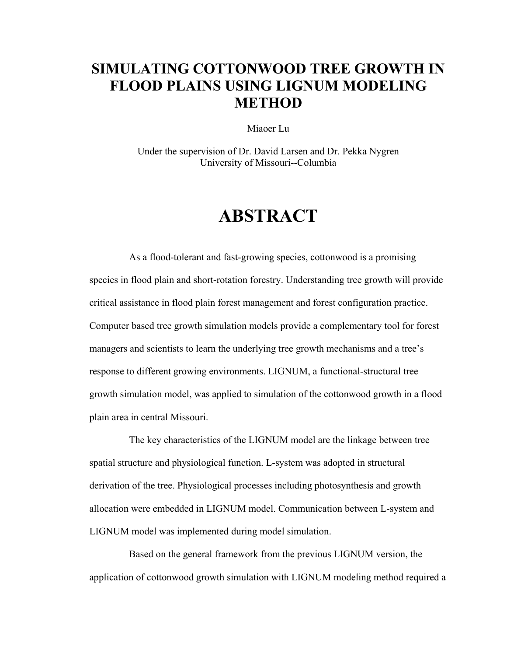## **SIMULATING COTTONWOOD TREE GROWTH IN FLOOD PLAINS USING LIGNUM MODELING METHOD**

Miaoer Lu

Under the supervision of Dr. David Larsen and Dr. Pekka Nygren University of Missouri--Columbia

## **ABSTRACT**

As a flood-tolerant and fast-growing species, cottonwood is a promising species in flood plain and short-rotation forestry. Understanding tree growth will provide critical assistance in flood plain forest management and forest configuration practice. Computer based tree growth simulation models provide a complementary tool for forest managers and scientists to learn the underlying tree growth mechanisms and a tree's response to different growing environments. LIGNUM, a functional-structural tree growth simulation model, was applied to simulation of the cottonwood growth in a flood plain area in central Missouri.

The key characteristics of the LIGNUM model are the linkage between tree spatial structure and physiological function. L-system was adopted in structural derivation of the tree. Physiological processes including photosynthesis and growth allocation were embedded in LIGNUM model. Communication between L-system and LIGNUM model was implemented during model simulation.

Based on the general framework from the previous LIGNUM version, the application of cottonwood growth simulation with LIGNUM modeling method required a